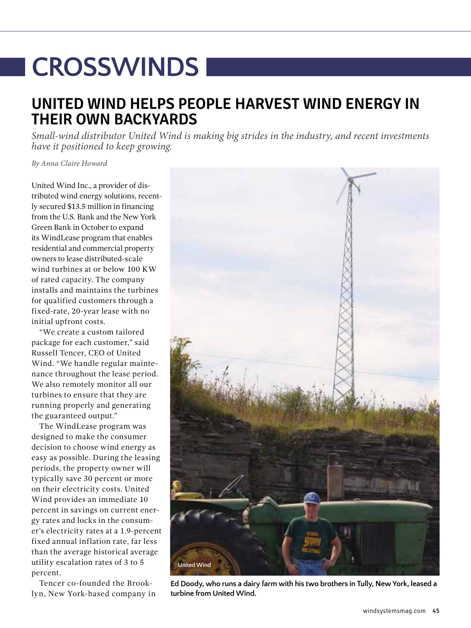## **CROSSWINDS**

## **UNITED WIND HELPS PEOPLE HARVEST WIND ENERGY IN THEIR OWN BACKYARDS**

*Small-wind distributor United Wind is making big strides in the industry, and recent investments have it positioned to keep growing.*

*By Anna Claire Howard*

United Wind Inc., a provider of distributed wind energy solutions, recently secured \$13.5 million in financing from the U.S. Bank and the New York Green Bank in October to expand its WindLease program that enables residential and commercial property owners to lease distributed-scale wind turbines at or below 100 KW of rated capacity. The company installs and maintains the turbines for qualified customers through a fixed-rate, 20-year lease with no initial upfront costs.

"We create a custom tailored package for each customer," said Russell Tencer, CEO of United Wind. "We handle regular maintenance throughout the lease period. We also remotely monitor all our turbines to ensure that they are running properly and generating the guaranteed output."

The WindLease program was designed to make the consumer decision to choose wind energy as easy as possible. During the leasing periods, the property owner will typically save 30 percent or more on their electricity costs. United Wind provides an immediate 10 percent in savings on current energy rates and locks in the consumer's electricity rates at a 1.9-percent fixed annual inflation rate, far less than the average historical average utility escalation rates of 3 to 5 percent.

Tencer co-founded the Brooklyn, New York-based company in



**Ed Doody, who runs a dairy farm with his two brothers in Tully, New York, leased a turbine from United Wind.**